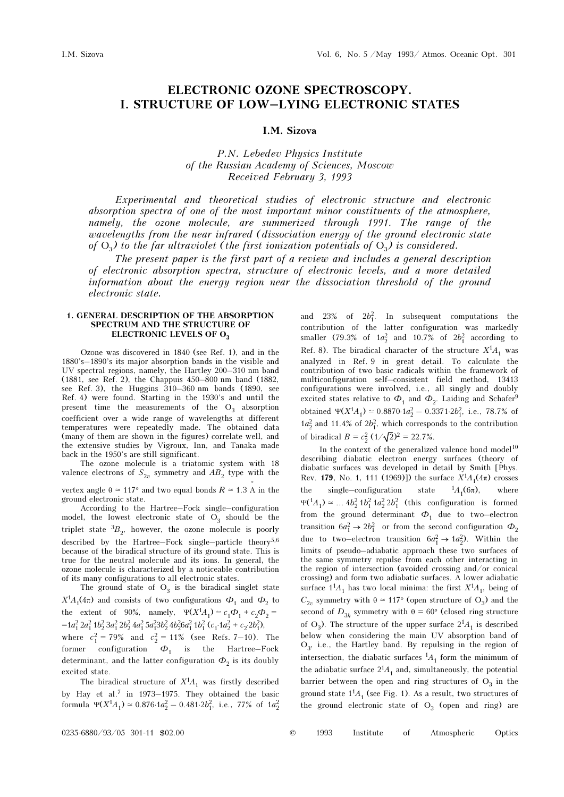# ELECTRONIC OZONE SPECTROSCOPY. I. STRUCTURE OF LOW–LYING ELECTRONIC STATES

# I.M. Sizova

# P.N. Lebedev Physics Institute of the Russian Academy of Sciences, Moscow Received February 3, 1993

Experimental and theoretical studies of electronic structure and electronic absorption spectra of one of the most important minor constituents of the atmosphere, namely, the ozone molecule, are summerized through 1991. The range of the wavelengths from the near infrared (dissociation energy of the ground electronic state of  $O_3$ ) to the far ultraviolet (the first ionization potentials of  $O_3$ ) is considered.

The present paper is the first part of a review and includes a general description of electronic absorption spectra, structure of electronic levels, and a more detailed information about the energy region near the dissociation threshold of the ground electronic state.

### 1. GENERAL DESCRIPTION OF THE ABSORPTION SPECTRUM AND THE STRUCTURE OF ELECTRONIC LEVELS OF O<sub>3</sub>

Ozone was discovered in 1840 (see Ref. 1), and in the 1880's–1890's its major absorption bands in the visible and UV spectral regions, namely, the Hartley 200–310 nm band (1881, see Ref. 2), the Chappuis 450–800 nm band (1882, see Ref. 3), the Huggins 310–360 nm bands (1890, see Ref. 4) were found. Starting in the 1930's and until the present time the measurements of the  $O_3$  absorption<br>coefficient curve a wide genera of wevenloasting at different coefficient over a wide range of wavelengths at different temperatures were repeatedly made. The obtained data (many of them are shown in the figures) correlate well, and the extensive studies by Vigroux, Inn, and Tanaka made back in the 1950's are still significant.

The ozone molecule is a triatomic system with 18 valence electrons of  $S_{2v}$  symmetry and  $AB_2$  type with the

vertex angle  $\theta \simeq 117^{\circ}$  and two equal bonds  $R \simeq 1.3 \text{ Å}$  in the ground electronic state ground electronic state.

According to the Hartree–Fock single–configuration model, the lowest electronic state of  $O_3$  should be the triplet state  ${}^{3}B_{2}$ , however, the ozone molecule is poorly described by the Hartree–Fock single–particle theory<sup>5,6</sup> because of the biradical structure of its ground state. This is true for the neutral molecule and its ions. In general, the ozone molecule is characterized by a noticeable contribution of its many configurations to all electronic states.

The ground state of  $O_3$  is the biradical singlet state  $X^1A_1(4\pi)$  and consists of two configurations  $\Phi_1$  and  $\Phi_2$  to the extent of 90%, namely,  $\Psi(X^1A_1) \simeq c_1\Phi_1 + c_2\Phi_2 =$  $=1a_1^2 2a_1^2 1b_2^2 3a_1^2 2b_2^2 4a_1^2 5a_1^2 3b_2^2 4b_2^2 6a_1^2 1b_1^2 (c_1^2 4a_2^2 + c_2^2 2b_1^2)$ where  $c_1^2 = 79\%$  and  $c_2^2 = 11\%$  (see Refs. 7–10). The former configuration  $\Phi_1$  is the Hartree–Fock<br>determinent and the latter configuration  $\Phi$  is its develop-

determinant, and the latter configuration  $\Phi_2$  is its doubly<br>excited state excited state.

The biradical structure of  $X^1A_1$  was firstly described by Hay et al.7 in 1973–1975. They obtained the basic formula  $\Psi(X^1A_1) \approx 0.876 \cdot 1a_2^2 - 0.481 \cdot 2b_1^2$ , i.e., 77% of  $1a_2^2$ 

and 23% of  $2b_1^2$ . In subsequent computations the contribution of the latter configuration was markedly smaller (79.3% of  $1a_2^2$  and  $10.7%$  of  $2b_1^2$  according to Ref. 8). The biradical character of the structure  $X^1A_1$  was analyzed in Ref. 9 in great detail. To calculate the contribution of two basic radicals within the framework of multiconfiguration self–consistent field method, 13413 configurations were involved, i.e., all singly and doubly excited states relative to  $\Phi_1$  and  $\Phi_2$ . Laiding and Schaferobtained  $\Psi(X^1A_1) \approx 0.8870.1a_2^2 - 0.3371.2b_1^2$ , i.e., 78.7% of  $1a_2^2$  and  $11.4\%$  of  $2b_1^2$ , which corresponds to the contribution of biradical  $B = c_2^2 (1/\sqrt{2})^2 = 22.7\%$ .

In the context of the generalized valence bond model<sup>10</sup> describing diabatic electron energy surfaces (theory of diabatic surfaces was developed in detail by Smith [Phys. Rev. **179**, No. 1, 111 (1969)]) the surface  $X^1A_1(4\pi)$  crosses<br>the single-configuration state  ${}^1A_1(6\pi)$ , where the single–configuration state  ${}^{1}A_1(6\pi)$ , where  $\Psi({}^1A_1) \simeq ... 4b_2^2 1b_1^2 1a_2^2 2b_1^2$  (this configuration is formed from the ground determinant  $\Phi_1$  due to two–electron transition  $6a_1^2 \rightarrow 2b_1^2$  or from the second configuration  $\Phi_2$ due to two–electron transition  $6a_1^2 \rightarrow 1a_2^2$ ). Within the limits of pseudo–adiabatic approach these two surfaces of the same symmetry repulse from each other interacting in the region of intersection (avoided crossing and/or conical crossing) and form two adiabatic surfaces. A lower adiabatic surface  $1^1A_1$  has two local minima: the first  $X^1A_1$ , being of  $C_{2v}$  symmetry with  $\theta \approx 117^{\circ}$  (open structure of O<sub>3</sub>) and the second of  $D_{3h}$  symmetry with  $\theta = 60^{\circ}$  (closed ring structure of  $O_3$ ). The structure of the upper surface  $2^1A_1$  is described<br>below when considering the main  $IW$  ebsentian hand of below when considering the main UV absorption band of  $O_3$ , i.e., the Hartley band. By repulsing in the region of intersection, the diabatic surfaces  ${}^{1}A_1$  form the minimum of the adiabatic surface  $2^{1}A_{1}$  and, simultaneously, the potential barrier between the open and ring structures of  $O_3$  in the ground state  $1<sup>1</sup>A<sub>1</sub>$  (see Fig. 1). As a result, two structures of the ground electronic state of  $O_3$  (open and ring) are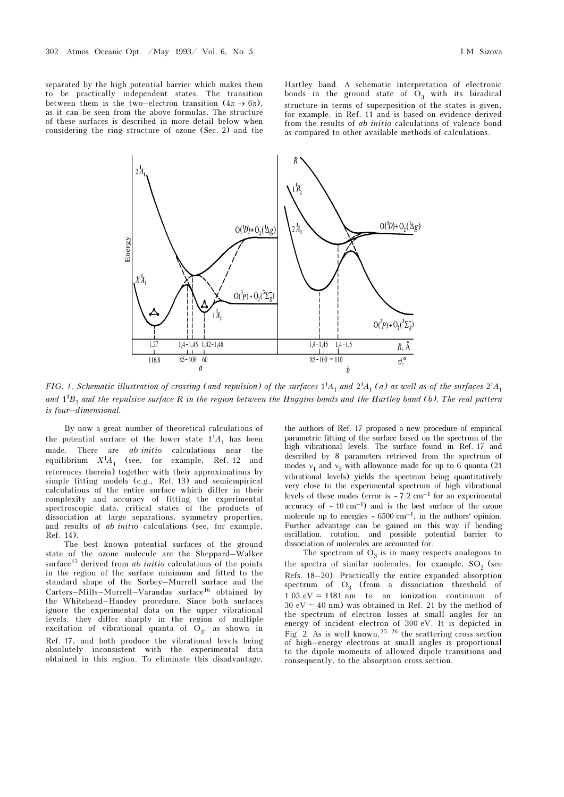separated by the high potential barrier which makes them to be practically independent states. The transition between them is the two–electron transition  $(4\pi \rightarrow 6\pi)$ , as it can be seen from the above formulas. The structure of these surfaces is described in more detail below when considering the ring structure of ozone (Sec. 2) and the

Hartley band. A schematic interpretation of electronic bonds in the ground state of  $O_3$  with its biradical<br>staughter in terms of superposition of the states is given structure in terms of superposition of the states is given, for example, in Ref. 11 and is based on evidence derived from the results of ab initio calculations of valence bond as compared to other available methods of calculations.



FIG. 1. Schematic illustration of crossing (and repulsion) of the surfaces  $1^1A_1$  and  $2^1A_1$  (a) as well as of the surfaces  $2^1A_1$ and  $1^1B_2$  and the repulsive surface R in the region between the Huggins bands and the Hartley band (b). The real pattern is four–dimensional.

By now a great number of theoretical calculations of the potential surface of the lower state  $1<sup>1</sup>A<sub>1</sub>$  has been made. There are ab initio calculations near the equilibrium  $X^1A_1$  (see, for example, Ref. 12 and references therein) together with their approximations by simple fitting models (e.g., Ref. 13) and semiempirical calculations of the entire surface which differ in their complexity and accuracy of fitting the experimental spectroscopic data, critical states of the products of dissociation at large separations, symmetry properties, and results of ab initio calculations (see, for example, Ref. 14).

The best known potential surfaces of the ground state of the ozone molecule are the Sheppard–Walker surface<sup>15</sup> derived from *ab initio* calculations of the points in the region of the surface minimum and fitted to the standard shape of the Sorbey–Murrell surface and the Carters–Mills–Murrell–Varandas surface16 obtained by the Whitehead–Handey procedure. Since both surfaces ignore the experimental data on the upper vibrational levels, they differ sharply in the region of multiple excitation of vibrational quanta of  $O_3$ , as shown in Ref. 17, and both produce the vibrational levels being absolutely inconsistent with the experimental data obtained in this region. To eliminate this disadvantage,

the authors of Ref. 17 proposed a new procedure of empirical parametric fitting of the surface based on the spectrum of the high vibrational levels. The surface found in Ref. 17 and described by 8 parameters retrieved from the spectrum of modes  $v_1$  and  $v_3$  with allowance made for up to 6 quanta (21) with attack with the spectrum being quantitatively vibrational levels) yields the spectrum being quantitatively very close to the experimental spectrum of high vibrational levels of these modes (error is ∼ 7.2 cm–1 for an experimental accuracy of  $\sim 10 \text{ cm}^{-1}$ ) and is the best surface of the ozone molecule up to energies  $\sim 6500 \text{ cm}^{-1}$ , in the authors' opinion. Further advantage can be gained on this way if bending oscillation, rotation, and possible potential barrier to dissociation of molecules are accounted for.

The spectrum of  $O_3$  is in many respects analogous to  $S_3$  (see the spectra of similar molecules, for example,  $SO_2$  (see<br>Refs. 18, 20). Prestigally the orting expended ebecation Refs. 18–20). Practically the entire expanded absorption spectrum of  $O_3$  (from a dissociation threshold of 1.05  $eV = 1181$  nm to an ionization continuum of 30 eV  $\simeq$  40 nm) was obtained in Ref. 21 by the method of the spectrum of electron losses at small angles for an energy of incident electron of 300 eV. It is depicted in Fig. 2. As is well known,  $25-26$  the scattering cross section of high–energy electrons at small angles is proportional to the dipole moments of allowed dipole transitions and consequently, to the absorption cross section.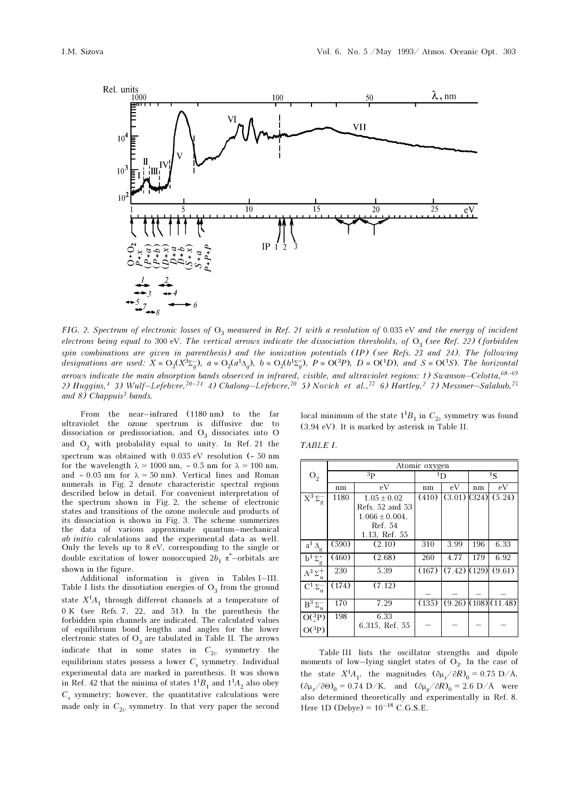

FIG. 2. Spectrum of electronic losses of  $O_3$  measured in Ref. 21 with a resolution of 0.035 eV and the energy of incident<br>electrons heing equal to 200 eV. The gentical gyverys indicate the disoppiction throubalde of  $O_$ electrons being equal to 300 eV. The vertical arrows indicate the dissociation thresholds, of  $O_3$  (see Ref. 22) (forbidden<br>spin equilipations are given in parapthesis) and the invisction patentials (ID) (see Refs. 22 an spin combinations are given in parenthesis) and the ionization potentials (IP) (see Refs. 23 and 24). The following designations are used:  $X = O_2(X^3\Sigma_g^-)$ ,  $a = O_2(a^1\Delta_g)$ ,  $b = O_2(b^1\Sigma_g^+)$ ,  $P = O(^3P)$ ,  $D = O(^1D)$ , and  $S = O(^1S)$ . The horizontal arrows indicate the main absorption bands observed in infrared, visible, and ultraviolet regions: 1) Swanson–Celotta,  $68-69$ 2) Huggins,<sup>4</sup> 3) Wulf–Lefebvre,<sup>70–74</sup> 4) Chalong–Lefebvre,<sup>70</sup> 5) Novick et al.,<sup>77</sup> 6) Hartley,<sup>2</sup> 7) Messmer–Salahub,<sup>75</sup> and 8) Chappuis<sup>3</sup> bands.

From the near–infrared (1180 nm) to the far ultraviolet the ozone spectrum is diffusive due to dissociation or predissociation, and  $O_3$  dissociates into O<br>and O<sub>2</sub> with prehability ageal to write In Ref. 24, the and  $O_2$  with probability equal to unity. In Ref. 21 the spectrum was obtained with 0.035 eV resolution (∼ 50 nm for the wavelength  $\lambda \approx 1000$  nm, ~ 0.5 nm for  $\lambda \approx 100$  nm, and ∼ 0.05 nm for  $\lambda \approx 50$  nm). Vertical lines and Roman numerals in Fig. 2 denote characteristic spectral regions described below in detail. For convenient interpretation of the spectrum shown in Fig. 2, the scheme of electronic states and transitions of the ozone molecule and products of its dissociation is shown in Fig. 3. The scheme summerizes the data of various approximate quantum–mechanical ab initio calculations and the experimental data as well. Only the levels up to 8 eV, corresponding to the single or double excitation of lower nonoccupied  $2b_1 \pi$  –orbitals are<br>shown in the figure shown in the figure.

Additional information is given in Tables I–III. Table I lists the dissotiation energies of  $O_3$  from the ground state  $X^1A_1$  through different channels at a temperature of 0 K (see Refs. 7, 22, and 51). In the parenthesis the forbidden spin channels are indicated. The calculated values of equilibrium bond lengths and angles for the lower electronic states of  $O_3$  are tabulated in Table II. The arrows<br>indicate, that in came states, in  $C$  symmetry, the indicate that in some states in  $C_{2v}$  symmetry the<br>equilibrium states access a large  $C$  symmetry. Individual equilibrium states possess a lower  $C_s$  symmetry. Individual s experimental data are marked in parenthesis. It was shown in Ref. 42 that the minima of states  $1^1B_1$  and  $1^1A_2$  also obey  $C<sub>s</sub>$  symmetry; however, the quantitative calculations were made only in  $C_{2v}$  symmetry. In that very paper the second local minimum of the state  $1^1B_1$  in  $C_{2v}$  symmetry was found (3.94 eV). It is marked by asterisk in Table II.

TABLE I.

|                                     |          |                     | Atomic oxygen |                |                         |                        |  |  |
|-------------------------------------|----------|---------------------|---------------|----------------|-------------------------|------------------------|--|--|
| O <sub>2</sub>                      |          | 3p                  |               | $^1\mathrm{D}$ | $\frac{1}{\mathcal{S}}$ |                        |  |  |
|                                     | eV<br>nm |                     | nm            | eV             | nm                      | eV                     |  |  |
| $\overline{X^3} \Sigma_g^-$         | 1180     | $1.05 \pm 0.02$     | (410)         | (3.01)(324)    |                         | (5.24)                 |  |  |
|                                     |          | Refs. 52 and 53     |               |                |                         |                        |  |  |
|                                     |          | $1.066 \pm 0.004$ , |               |                |                         |                        |  |  |
|                                     |          | Ref. 54             |               |                |                         |                        |  |  |
|                                     |          | 1.13, Ref. 55       |               |                |                         |                        |  |  |
| $\mathbf{a}^1 \, \Delta_g$          | (590)    | (2.10)              | 310           | 3.99           | 196                     | 6.33                   |  |  |
| $b^1 \Sigma_g^+$                    | (460)    | (2.68)              | 260           | 4.77           | 179                     | 6.92                   |  |  |
| $\overline{A^3}\,\Sigma_u^+$        | 230      | 5.39                | (167)         | $(7.42)$ (129) |                         | (9.61)                 |  |  |
| $C^1 \Sigma_u^-$                    | (174)    | (7.12)              |               |                |                         |                        |  |  |
| $\mathrm{B}^3\,\Sigma_\mathrm{u}^-$ | 170      | 7.29                | (135)         |                |                         | $(9.26)$ (108) (11.48) |  |  |
| $O({}^{3}_{4}P)$                    | 198      | 6.33                |               |                |                         |                        |  |  |
| $O(^3P)$                            |          | 6.315, Ref. 55      |               |                |                         |                        |  |  |

Table III lists the oscillator strengths and dipole moments of low–lying singlet states of  $O_3$ . In the case of the state  $X^1A_1$ , the magnitudes  $(\partial \mu_x / \partial R)_0 = 0.75 \text{ D/A}$ ,  $(\partial \mu_x / \partial \Theta)_0 = 0.74 \text{ D/K}$ , and  $(\partial \mu_y / \partial R)_0 = 2.6 \text{ D/A}$  were also determined theoretically and experimentally in Ref. 8. Here 1D (Debye) =  $10^{-18}$  C.G.S.E.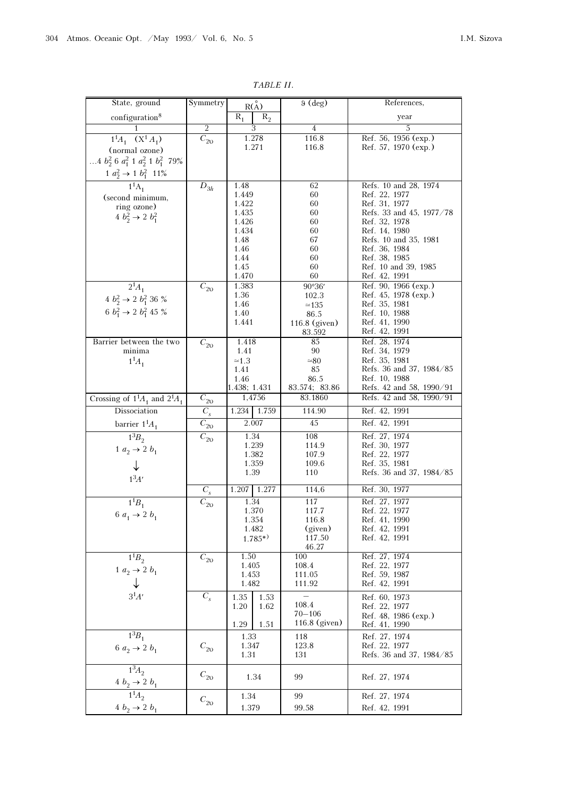| State, ground                                            | Symmetry                   | R(A)           |                | $9$ (deg)       | References,                    |
|----------------------------------------------------------|----------------------------|----------------|----------------|-----------------|--------------------------------|
| configuration <sup>8</sup>                               |                            | $R_1$          | $\rm R_2$      |                 | year                           |
|                                                          | $\overline{2}$             | 3              |                | 4               | 5                              |
| $1^1A_1$ $(X^1A_1)$                                      | $\overline{C}_{2\text{O}}$ |                | 1.278          | 116.8           | Ref. 56, 1956 (exp.)           |
| (normal ozone)                                           |                            | 1.271          |                | 116.8           | Ref. 57, 1970 (exp.)           |
|                                                          |                            |                |                |                 |                                |
| 4 $b_2^2$ 6 $a_1^2$ 1 $a_2^2$ 1 $b_1^2$ 79%              |                            |                |                |                 |                                |
| $\frac{1 \ a_2^2 \rightarrow 1 \ b_1^2 \ 11\%}{1^1 A_1}$ |                            |                |                |                 |                                |
|                                                          | $D_{3h}$                   | 1.48           |                | 62              | Refs. 10 and 28, 1974          |
| (second minimum,                                         |                            | 1.449          |                | 60              | Ref. 22, 1977                  |
| ring ozone)                                              |                            | 1.422          |                | 60              | Ref. 31, 1977                  |
| $4 b_2^2 \rightarrow 2 b_1^2$                            |                            | 1.435          |                | 60              | Refs. 33 and 45, 1977/78       |
|                                                          |                            | 1.426<br>1.434 |                | 60<br>60        | Ref. 32, 1978<br>Ref. 14, 1980 |
|                                                          |                            | 1.48           |                | 67              | Refs. 10 and 35, 1981          |
|                                                          |                            | 1.46           |                | 60              | Ref. 36, 1984                  |
|                                                          |                            | 1.44           |                | 60              | Ref. 38, 1985                  |
|                                                          |                            | 1.45           |                | 60              | Ref. 10 and 39, 1985           |
|                                                          |                            | 1.470          |                | 60              | Ref. 42, 1991                  |
| $2^{1}A_{1}$                                             | $C_{\rm 20}$               | 1.383          |                | 90°36'          | Ref. 90, 1966 (exp.)           |
| $4 b_2^2 \rightarrow 2 b_1^2 36 \%$                      |                            | 1.36           |                | 102.3           | Ref. 45, 1978 (exp.)           |
|                                                          |                            | 1.46           |                | $\simeq$ 135    | Ref. 35, 1981                  |
| 6 $b_1^2 \rightarrow 2 b_1^2 45 \%$                      |                            | 1.40           |                | 86.5            | Ref. 10, 1988                  |
|                                                          |                            | 1.441          |                | $116.8$ (given) | Ref. 41, 1990                  |
|                                                          |                            |                |                | 83.592          | Ref. 42, 1991                  |
| Barrier between the two                                  | $\overline{C}_{2\nu}$      | 1.418          |                | 85              | Ref. 28, 1974                  |
| minima                                                   |                            | 1.41           |                | 90              | Ref. 34, 1979<br>Ref. 35, 1981 |
| $1^{1}A_{1}$                                             |                            | $\simeq 1.3$   |                | $\simeq 80$     | Refs. 36 and 37, 1984/85       |
|                                                          |                            | 1.41<br>1.46   |                | 85<br>86.5      | Ref. 10, 1988                  |
|                                                          |                            | 1.438; 1.431   |                | 83.574; 83.86   | Refs. 42 and 58, 1990/91       |
| Crossing of $1^1A_1$ and $2^1A_1$                        | $C_{20}$                   |                | 1,4756         | 83.1860         | Refs. 42 and 58, 1990/91       |
| Dissociation                                             | $C_{s}$                    | 1.234          | 1.759          | 114.90          | Ref. 42, 1991                  |
| barrier $1^1A_1$                                         | $\overline{C}_{2\text{O}}$ | 2.007          |                | 45              | Ref. 42, 1991                  |
| $\overline{1^3B}$                                        |                            | 1.34           |                | 108             | Ref. 27, 1974                  |
|                                                          | $\overline{C}_{2\text{O}}$ |                | 1.239          | 114.9           | Ref. 30, 1977                  |
| $1 a_2 \rightarrow 2 b_1$                                |                            | 1.382          |                | 107.9           | Ref. 22, 1977                  |
|                                                          |                            |                | 1.359          | 109.6           | Ref. 35, 1981                  |
|                                                          |                            | 1.39           |                | 110             | Refs. 36 and 37, 1984/85       |
| $1^3A'$                                                  |                            |                |                |                 |                                |
|                                                          | $C_{s}$                    | 1.207 1.277    |                | 114,6           | Ref. 30, 1977                  |
| $1^{1}B_{1}$                                             | $\overline{C}_{20}$        | 1.34           |                | 117             | Ref. 27, 1977                  |
| 6 $a_1 \rightarrow 2 b_1$                                |                            |                | 1.370<br>1.354 | 117.7<br>116.8  | Ref. 22, 1977<br>Ref. 41, 1990 |
|                                                          |                            |                | 1.482          | (given)         | Ref. 42, 1991                  |
|                                                          |                            |                | $1.785^{*}$    | 117.50          | Ref. 42, 1991                  |
|                                                          |                            |                |                | 46.27           |                                |
| $1^{1}B_{2}$                                             | $C_{\rm 20}$               | 1.50           |                | 100             | Ref. 27, 1974                  |
| $1 a_2 \rightarrow 2 b_1$                                |                            | 1.405          |                | 108.4           | Ref. 22, 1977                  |
|                                                          |                            | 1.453          |                | 111.05          | Ref. 59, 1987                  |
|                                                          |                            | 1.482          |                | 111.92          | Ref. 42, 1991                  |
| $3^1\!A'$                                                | $C_{s}$                    | 1.35           | 1.53           |                 | Ref. 60, 1973                  |
|                                                          |                            | 1.20           | 1.62           | 108.4           | Ref. 22, 1977                  |

1.29

2υ  $\begin{array}{|c|c|c|} \hline 1.34 & 1.379 \hline \end{array}$ 

 $C_{\rm 20}$ 

 $C_{20}$ 

 1.33 1.347 1.31

 $1^{3}B_{1}$ 

 $\overline{1^3\!A_2}$  $\frac{4 b_2 \rightarrow 2 b_1}{11}$ 

 $1^{1}A_{2}$  $4 b_2 \rightarrow 2 b_1$ 

 $6 a_2 \rightarrow 2 b_1$   $C_{20}$ 

1.51

70–106 116.8 (given)

1.34 99 Ref. 27, 1974

 118 123.8 131

99 99.58

Ref. 48, 1986 (exp.) Ref. 41, 1990

Refs. 36 and 37, 1984/85

 Ref. 27, 1974 Ref. 22, 1977

Ref. 27, 1974 Ref. 42, 1991

TABLE II.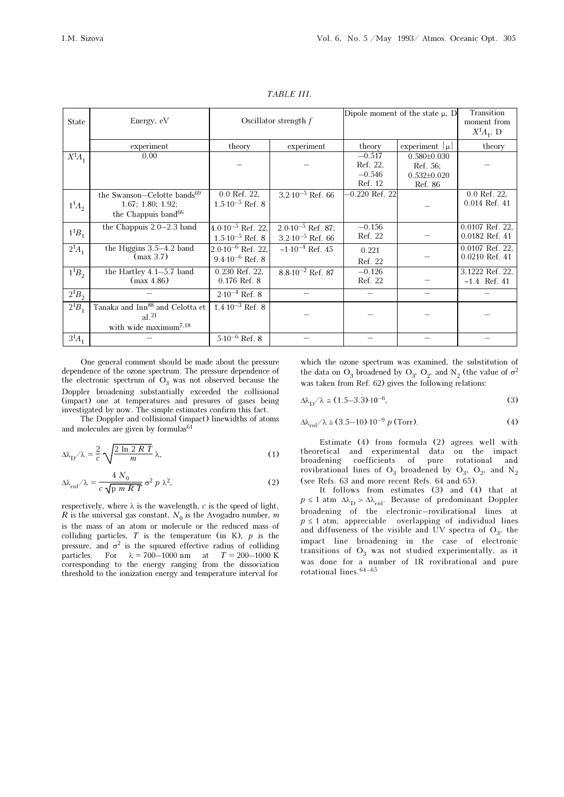| State        | Energy, eV                                  |                              | Oscillator strength $f$      | Dipole moment of the state $\mu$ , D |                    | Transition<br>moment from<br>$X^1A_1, D$ |
|--------------|---------------------------------------------|------------------------------|------------------------------|--------------------------------------|--------------------|------------------------------------------|
|              | experiment                                  | theory                       | experiment                   | theory                               | experiment $ \mu $ | theory                                   |
| $X^1A_1$     | 0.00                                        |                              |                              | $-0.517$                             | $0.580\pm0.030$    |                                          |
|              |                                             |                              |                              | Ref. 22.                             | Ref. 56:           |                                          |
|              |                                             |                              |                              | $-0.546$                             | $0.532\pm0.020$    |                                          |
|              |                                             |                              |                              | Ref. 12                              | Ref. 86            |                                          |
|              | the Swanson-Celotte bands <sup>69</sup>     | 0.0 Ref. 22,                 | $3,2.10^{-5}$ Ref. 66        | $-0.220$ Ref. 22                     |                    | $0.0$ Ref. 22,                           |
| $1^{1}A_{2}$ | 1.67; 1.80; 1.92;                           | $1.5 \cdot 10^{-5}$ Ref. 8   |                              |                                      |                    | $0.014$ Ref. $41$                        |
|              | the Chappuis band <sup>66</sup>             |                              |                              |                                      |                    |                                          |
|              | the Chappuis $2.0 - 2.3$ band               | $4.0.10^{-5}$ Ref. 22,       | $2.0 \cdot 10^{-5}$ Ref. 87; | $-0.156$                             |                    | 0.0107 Ref. 22.                          |
| $1^{1}B_{1}$ |                                             | $1.5 \cdot 10^{-5}$ Ref. 8   | $3.2 \cdot 10^{-5}$ Ref. 66  | Ref. 22                              |                    | $0.0182$ Ref. $41$                       |
| $2^{1}A_{1}$ | the Higgins $3.5-4.2$ band                  | $2.0 \cdot 10^{-6}$ Ref. 22, | $\sim 1.10^{-4}$ Ref. 45     | 0.221                                |                    | $0.0107$ Ref. 22,                        |
|              | (max 3.7)                                   | $9.4 \cdot 10^{-6}$ Ref. 8   |                              | Ref. 22                              |                    | $0.0210$ Ref. $41$                       |
| $1^{1}B_{2}$ | the Hartley $4.1-5.7$ band                  | 0.230 Ref. 22,               | $8.8 \cdot 10^{-2}$ Ref. 87  | $-0.126$                             |                    | 3.1222 Ref. 22,                          |
|              | (max 4.86)                                  | $0.176$ Ref. $8$             |                              | Ref. 22                              |                    | $~1.4$ Ref. 41                           |
| $2^{1}B_{2}$ |                                             | $2.10^{-4}$ Ref. 8           |                              |                                      |                    |                                          |
| $2^{1}B_{1}$ | Tanaka and Inn <sup>88</sup> and Celotta et | $1.4 \cdot 10^{-3}$ Ref. 8   |                              |                                      |                    |                                          |
|              | $al.^{21}$                                  |                              |                              |                                      |                    |                                          |
|              | with wide maximum <sup>7,18</sup>           |                              |                              |                                      |                    |                                          |
| $3^{1}A_{1}$ |                                             | $5.10^{-6}$ Ref. 8           |                              |                                      |                    |                                          |

TABLE III.

One general comment should be made about the pressure dependence of the ozone spectrum. The pressure dependence of the electronic spectrum of  $O_3$  was not observed because the<br>Department of the collisional Doppler broadening substantially exceeded the collisional (impact) one at temperatures and presures of gases being investigated by now. The simple estimates confirm this fact.

The Doppler and collisional (impact) linewidths of atoms and molecules are given by formulas<sup>61</sup>

$$
\Delta\lambda_{\rm D}/\lambda = \frac{2}{c} \sqrt{\frac{2 \ln 2RT}{m}} \lambda,\tag{1}
$$

$$
\Delta\lambda_{\rm col}/\lambda = \frac{4 N_0}{c \sqrt{\rho m R T}} \sigma^2 p \lambda^2,
$$
 (2)

respectively, where  $\lambda$  is the wavelength,  $c$  is the speed of light, R is the universal gas constant,  $N_0$  is the Avogadro number, m<br>is the mass of an etem or malegula or the reduced mass of is the mass of an atom or molecule or the reduced mass of colliding particles,  $T$  is the temperature (in K),  $p$  is the pressure, and  $\sigma^2$  is the squared effective radius of colliding particles. For  $\lambda = 700-1000$  nm at  $T = 200-1000$  K corresponding to the energy ranging from the dissociation threshold to the ionization energy and temperature interval for

which the ozone spectrum was examined, the substitution of the data on  $O_3$  broadened by  $O_3$ ,  $O_2$ , and  $N_2$  (the value of  $\sigma^2$ was taken from Ref. 62) gives the following relations:

 $\Delta\lambda_{\rm D}/\lambda \approx (1.5-3.3)\cdot 10^{-6},$  (3)

$$
\Delta \lambda_{\text{col}} / \lambda \approx (3.5 - 10) \cdot 10^{-9} \ p \text{ (Torr)}.
$$
 (4)

Estimate (4) from formula (2) agrees well with theoretical and experimental data on the impact broadening coefficients of pure rotational and rovibrational lines of  $O_3$  broadened by  $O_3$ ,  $O_2$ , and  $N_2$ <br>(see Befs. 62 and maps recent Befs. 64 and 65) (see Refs. 63 and more recent Refs. 64 and 65).

It follows from estimates (3) and (4) that at  $p \le 1$  atm  $\Delta \lambda_{\rm D} > \Delta \lambda_{\rm col}$ . Because of predominant Doppler<br>broadcoing of the electronic revibertional lines at broadening of the electronic–rovibrational lines at  $p \le 1$  atm, appreciable overlapping of individual lines and diffuseness of the visible and UV spectra of  $O_3$ , the<br>impact line, handoning in the case of electronic impact line broadening in the case of electronic transitions of  $O_3$  was not studied experimentally, as it<br>was done for a number of IB expirational and guns was done for a number of IR rovibrational and pure rotational lines.64–65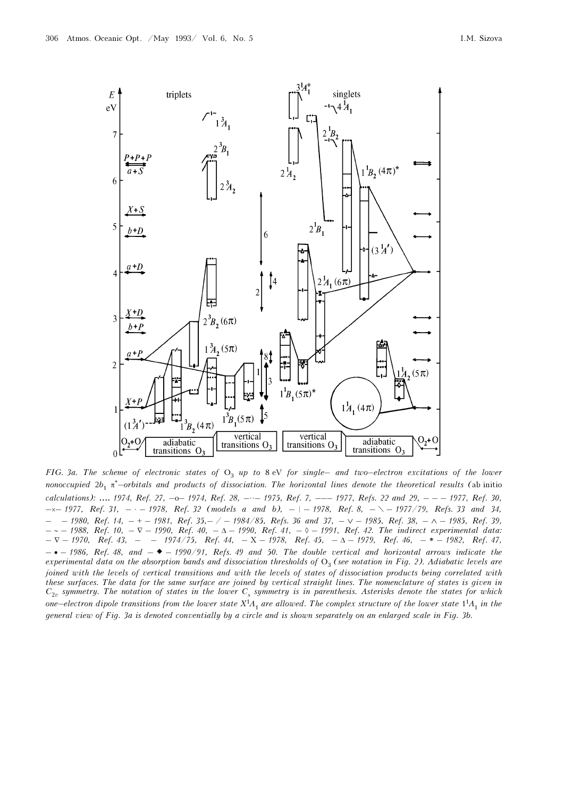

FIG. 3a. The scheme of electronic states of  $O_3$  up to 8 eV for single– and two–electron excitations of the lower nonoccupied  $2b_1$  π<sup>\*</sup>–orbitals and products of dissociation. The horizontal lines denote the theoretical results (ab initio calculations): .... 1974, Ref. 27, -0-1974, Ref. 28, ---- 1975, Ref. 7, --- 1977, Refs. 22 and 29, - - - 1977, Ref. 30,  $-x-$  1977, Ref. 31,  $-$  1978, Ref. 32 (models a and b),  $-$  1978, Ref. 8,  $-\sqrt{-1977/79}$ , Refs. 33 and 34,  $-$  − 1980, Ref. 14, − + − 1981, Ref. 35,– / − 1984/85, Refs. 36 and 37, –  $\vee$  − 1985, Ref. 38, – ∧ − 1985, Ref. 39, – ∼ – 1988, Ref. 10, – ∇ – 1990, Ref. 40, – Δ – 1990, Ref. 41, – ◊ – 1991, Ref. 42. The indirect experimental data:  $– \nabla - 1970$ , Ref. 43, – – 1974/75, Ref. 44, – X – 1978, Ref. 45, –  $\Delta - 1979$ , Ref. 46, – \* – 1982, Ref. 47,  $-$  • – 1986, Ref. 48, and  $-$  • – 1990/91, Refs. 49 and 50. The double vertical and horizontal arrows indicate the experimental data on the absorption bands and dissociation thresholds of  $O_3$  (see notation in Fig. 2). Adiabatic levels are<br>isined with the levels of ventical transitions and with the levels of states of dissociation pr joined with the levels of vertical transitions and with the levels of states of dissociation products being correlated with these surfaces. The data for the same surface are joined by vertical straight lines. The nomenclature of states is given in  $C_{2v}$  symmetry. The notation of states in the lower  $C_s$  symmetry is in parenthesis. Asterisks denote the states for which one–electron dipole transitions from the lower state  $X^1A_1$  are allowed. The complex structure of the lower state  $1^1A_1$  in the general view of Fig. 3a is denoted conventially by a circle and is shown separately on an enlarged scale in Fig. 3b.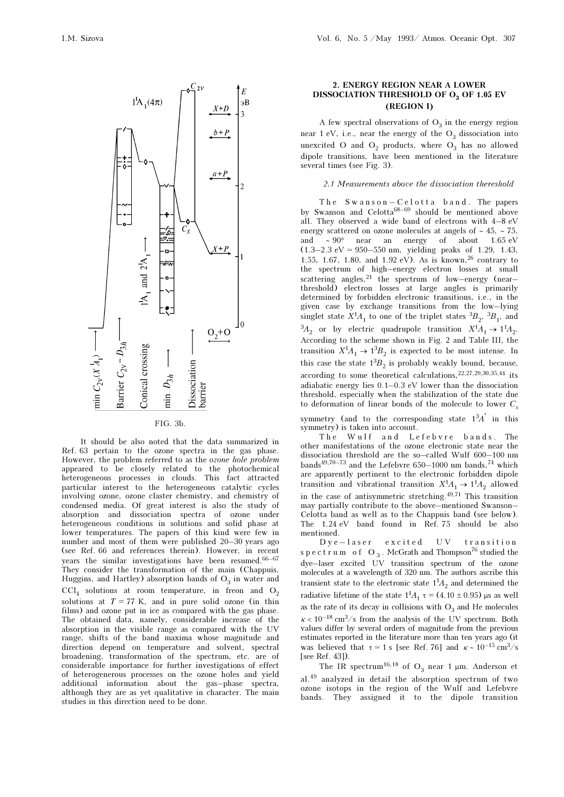

FIG. 3b.

It should be also noted that the data summarized in Ref. 63 pertain to the ozone spectra in the gas phase. However, the problem referred to as the ozone hole problem appeared to be closely related to the photochemical heterogeneous processes in clouds. This fact attracted particular interest to the heterogeneous catalytic cycles involving ozone, ozone claster chemistry, and chemistry of condensed media. Of great interest is also the study of absorption and dissociation spectra of ozone under heterogeneous conditions in solutions and solid phase at lower temperatures. The papers of this kind were few in number and most of them were published 20–30 years ago (see Ref. 66 and references therein). However, in recent years the similar investigations have been resumed. $66-67$ They consider the transformation of the main (Chappuis, Huggins, and Hartley) absorption bands of  $O_3$  in water and  $\overline{O}$  $CCl<sub>4</sub>$  solutions at room temperature, in freon and  $O<sub>2</sub>$ solutions at  $T = 77$  K, and in pure solid ozone (in thin films) and ozone put in ice as compared with the gas phase. The obtained data, namely, considerable increase of the absorption in the visible range as compared with the UV range, shifts of the band maxima whose magnitude and direction depend on temperature and solvent, spectral broadening, transformation of the spectrum, etc. are of considerable importance for further investigations of effect of heterogenerous processes on the ozone holes and yield additional information about the gas–phase spectra, although they are as yet qualitative in character. The main studies in this direction need to be done.

## 2. ENERGY REGION NEAR A LOWER DISSOCIATION THRESHOLD OF  $O_3$  OF 1.05 EV (REGION I)

A few spectral observations of  $O_3$  in the energy region<br>1.0V i.e., near the energy of the  $O_3$  discovision into near 1 eV, i.e., near the energy of the  $O_3$  dissociation into<br>unarraited  $O_3$  and  $O_4$  and with where  $O_4$  has no alleved unexcited O and  $O_2$  products, where  $O_3$  has no allowed<br>dipele transitions, have been mentioned in the literature dipole transitions, have been mentioned in the literature several times (see Fig. 3).

### 2.1 Measurements above the dissociation thereshold

The Swanson-Celotta band. The papers by Swanson and Celotta<sup>68–69</sup> should be mentioned above all. They observed a wide band of electrons with 4–8 eV energy scattered on ozone molecules at angels of ∼ 45, ∼ 75, and ∼ 90° near an energy of about 1.65 eV (1.3–2.3 eV  $\simeq$  950–550 nm, yielding peaks of 1.29, 1.43, 1.55, 1.67, 1.80, and 1.92 eV). As is known,26 contrary to the spectrum of high–energy electron losses at small scattering angles,  $21$  the spectrum of low–energy (near– threshold) electron losses at large angles is primarily determined by forbidden electronic transitions, i.e., in the given case by exchange transitions from the low–lying singlet state  $X^1A_1$  to one of the triplet states  ${}^3B_2$ ,  ${}^3B_1$ , and  ${}^{3}A_2$  or by electric quadrupole transition  $X^1A_1 \rightarrow 1^1A_2$ . According to the scheme shown in Fig. 2 and Table III, the transition  $X^1A_1 \rightarrow 1^3B_2$  is expected to be most intense. In this case the state  $1<sup>3</sup>B<sub>2</sub>$  is probably weakly bound, because, according to some theoretical calculations,  $22,27,29,30,35,44$  its adiabatic energy lies 0.1–0.3 eV lower than the dissociation threshold, especially when the stabilization of the state due to deformation of linear bonds of the molecule to lower  $C_s$ 

symmetry (and to the corresponding state  $1<sup>3</sup>A'$  in this symmetry) is taken into account.

The Wulf and Lefebvre bands. The other manifestations of the ozone electronic state near the dissociation threshold are the so–called Wulf 600–100 nm bands<sup>49,70–73</sup> and the Lefebvre 650–1000 nm bands,<sup>74</sup> which are apparently pertinent to the electronic forbidden dipole transition and vibrational transition  $X^1A_1 \rightarrow 1^1A_2$  allowed in the case of antisymmetric stretching. $49,71$  This transition may partially contribute to the above–mentioned Swanson– Celotta band as well as to the Chappuis band (see below). The 1.24 eV band found in Ref. 75 should be also mentioned.

Dye–laser excited UV transition spectrum of  $O_3$ . McGrath and Thompson<sup>76</sup> studied the dye–laser excited UV transition spectrum of the ozone molecules at a wavelength of 320 nm. The authors ascribe this transient state to the electronic state  $1<sup>1</sup>A<sub>2</sub>$  and determined the radiative lifetime of the state  $1<sup>1</sup>A<sub>1</sub>$  τ = (4.10 ± 0.95) μs as well as the rate of its decay in collisions with  $O_3$  and He molecules  $\kappa$  < 10<sup>-18</sup> cm<sup>3</sup>/s from the analysis of the UV spectrum. Both values differ by several orders of magnitude from the previous estimates reported in the literature more than ten years ago (it was believed that  $\tau \simeq 1 \text{ s}$  [see Ref. 76] and  $\kappa \sim 10^{-15} \text{ cm}^3/\text{s}$ [see Ref. 43]).

The IR spectrum<sup>16,18</sup> of  $O_3$  near 1  $\mu$ m. Anderson et al.49 analyzed in detail the absorption spectrum of two ozone isotops in the region of the Wulf and Lefebvre bands. They assigned it to the dipole transition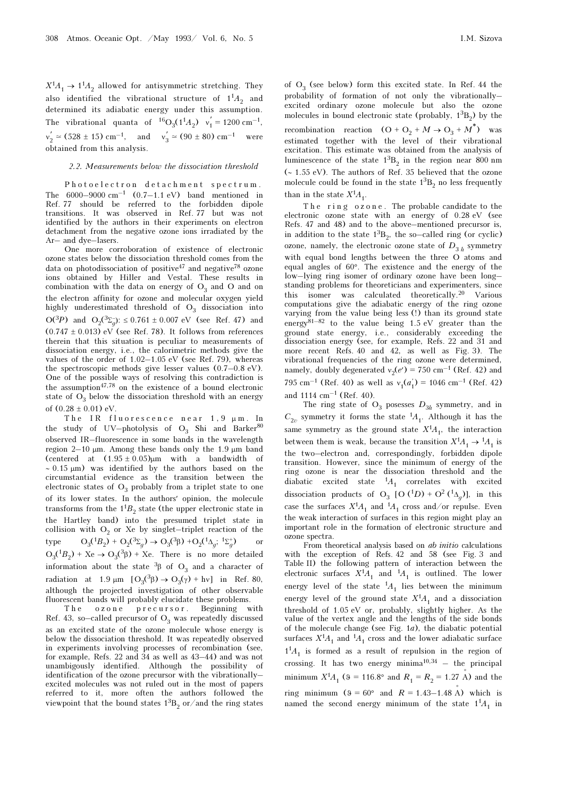$X^1A_1 \rightarrow 1^1A_2$  allowed for antisymmetric stretching. They also identified the vibrational structure of  $1^1A_2$  and determined its adiabatic energy under this assumption. The vibrational quanta of  ${}^{16}O_3(1^1A_2)$   $v'_1 = 1200 \text{ cm}^{-1}$ ,  $v'_2 \approx (528 \pm 15) \text{ cm}^{-1}$ , and  $v'_3 \approx (90 \pm 80) \text{ cm}^{-1}$  were obtained from this analysis.

#### 2.2. Measurements below the dissociation threshold

Photoelectron detachment spectrum. The  $6000-9000 \text{ cm}^{-1}$   $(0.7-1.1 \text{ eV})$  band mentioned in Ref. 77 should be referred to the forbidden dipole transitions. It was observed in Ref. 77 but was not identified by the authors in their experiments on electron detachment from the negative ozone ions irradiated by the Ar– and dye–lasers.

One more corroboration of existence of electronic ozone states below the dissociation threshold comes from the data on photodissociation of positive<sup>47</sup> and negative<sup>78</sup> ozone ions obtained by Hiller and Vestal. These results in combination with the data on energy of  $O_3$  and O and on<br>the electron efficity for example and malexular express viald the electron affinity for ozone and molecular oxygen yield highly underestimated threshold of  $O_3$  dissociation into  $O(3P)$  and  $O_2(3\Sigma_g)$ :  $\leq 0.761 \pm 0.007$  eV (see Ref. 47) and  $(0.747 \pm 0.013)$  eV (see Ref. 78). It follows from references therein that this situation is peculiar to measurements of dissociation energy, i.e., the calorimetric methods give the values of the order of  $1.02-1.05$  eV (see Ref. 79), whereas the spectroscopic methods give lesser values (0.7–0.8 eV). One of the possible ways of resolving this contradiction is the assumption47,78 on the existence of a bound electronic state of  $O_3$  below the dissociation threshold with an energy  $\mathcal{L}(O, 28 + 0.04) \times V$ of  $(0.28 \pm 0.01)$  eV.

The IR fluorescence near 1,9 μ m . In the study of UV–photolysis of  $O_3$  Shi and Barker<sup>80</sup> observed IR–fluorescence in some bands in the wavelength region 2–10 μm. Among these bands only the 1.9 μm band (centered at  $(1.95 \pm 0.05)\mu m$  with a bandwidth of ∼ 0.15 μm) was identified by the authors based on the circumstantial evidence as the transition between the electronic states of  $O_3$  probably from a triplet state to one of its lower states. In the authors′ opinion, the molecule transforms from the  $1^1B_2$  state (the upper electronic state in the Hartley band) into the presumed triplet state in collision with  $O_2$  or Xe by singlet–triplet reaction of the type  $3^{(1)}B_2$  + O<sub>2</sub>( $3^{(3)}C_1$ ) → O<sub>3</sub>( $3^{(3)}B$ ) +O<sub>2</sub>( $1\Delta_g$ ;  $1\Sigma_g^+$ type  $O_3(^1B_2) + O_2(^3\Sigma_g) \rightarrow O_3(^3\beta) + O_2(^1\Delta_g; {}^{1\Sigma_g})$  or  $O_3(^1B_2) + Xe \rightarrow O_3(^3\beta) + Xe$ . There is no more detailed information about the state  ${}^{3}$ β of O<sub>3</sub> and a character of radiation at  $1.9 \mu m [O_3({}^3\beta) \rightarrow O_3(\gamma) + h\nu]$  in Ref. 80, although the projected investigation of other observable fluorescent bands will probably elucidate these problems.

The ozone precursor. Beginning with Ref. 43, so–called precursor of  $O_3$  was repeatedly discussed<br>as an availed state of the azone malagula where aparav is as an excited state of the ozone molecule whose energy is below the dissociation threshold. It was repeatedly observed in experiments involving processes of recombination (see, for example, Refs. 22 and 34 as well as 43–44) and was not unambigously identified. Although the possibility of identification of the ozone precursor with the vibrationally– excited molecules was not ruled out in the most of papers referred to it, more often the authors followed the viewpoint that the bound states  $1^{3}B_{2}$  or/and the ring states

of  $O_3$  (see below) form this excited state. In Ref. 44 the<br>probability of formation of not only the vibrationally probability of formation of not only the vibrationally– excited ordinary ozone molecule but also the ozone molecules in bound electronic state (probably,  $1^3B_2$ ) by the recombination reaction  $(O + O_2 + M \rightarrow O_3 + M^*)$  was estimated together with the level of their vibrational excitation. This estimate was obtained from the analysis of

luminescence of the state  $1^{3}B_{2}$  in the region near 800 nm (∼ 1.55 eV). The authors of Ref. 35 believed that the ozone molecule could be found in the state  $1^{3}B_{2}$  no less frequently than in the state  $X^1A_1$ .

The ring ozone. The probable candidate to the electronic ozone state with an energy of 0.28 eV (see Refs. 47 and 48) and to the above–mentioned precursor is, in addition to the state  $1^3\mathrm{B}_2,$  the so–called ring (or cyclic) ozone, namely, the electronic ozone state of  $D_{3h}$  symmetry<br>with agreed hard logathe hattycen the three  $\Omega$  atoms and with equal bond lengths between the three O atoms and equal angles of 60°. The existence and the energy of the low–lying ring isomer of ordinary ozone have been long– standing problems for theoreticians and experimenters, since this isomer was calculated theoretically.20 Various computations give the adiabatic energy of the ring ozone varying from the value being less (!) than its ground state energy<sup>81–82</sup> to the value being  $1.5 \text{ eV}$  greater than the ground state energy, i.e., considerably exceeding the dissociation energy (see, for example, Refs. 22 and 31 and more recent Refs. 40 and 42, as well as Fig. 3). The vibrational frequencies of the ring ozone were determined, namely, doubly degenerated  $v_2(e') = 750 \text{ cm}^{-1}$  (Ref. 42) and 795 cm<sup>-1</sup> (Ref. 40) as well as  $v_1(a'_1) = 1046$  cm<sup>-1</sup> (Ref. 42) and  $1114 \text{ cm}^{-1}$  (Ref. 40).

The ring state of  $O_3$  posesses  $D_{3h}$  symmetry, and in  $C_{2v}$  symmetry it forms the state  ${}^{1}A_{1}$ . Although it has the same symmetry as the ground state  $X^1A_1$ , the interaction between them is weak, because the transition  $X^1A_1 \rightarrow {}^1A_1$  is the two–electron and, correspondingly, forbidden dipole transition. However, since the minimum of energy of the ring ozone is near the dissociation threshold and the diabatic excited state  ${}^{1}A_1$  correlates with excited dissociation products of  $O_3$  [O (<sup>1</sup>D) + O<sup>2</sup> (<sup>1</sup> $\Delta_g$ )], in this case the surfaces  $X^1A_1$  and  $^1A_1$  cross and/or repulse. Even the weak interaction of surfaces in this region might play an important role in the formation of electronic structure and ozone spectra.

From theoretical analysis based on *ab initio* calculations with the exception of Refs. 42 and 58 (see Fig. 3 and Table II) the following pattern of interaction between the electronic surfaces  $X^1A_1$  and  $^1A_1$  is outlined. The lower energy level of the state  ${}^{1}A_1$  lies between the minimum energy level of the ground state  $X^1A_1$  and a dissociation threshold of 1.05 eV or, probably, slightly higher. As the value of the vertex angle and the lengths of the side bonds of the molecule change (see Fig. 1a), the diabatic potential surfaces  $X^1A_1$  and  $^1A_1$  cross and the lower adiabatic surface  $1<sup>1</sup>A<sub>1</sub>$  is formed as a result of repulsion in the region of crossing. It has two energy  $\text{minima}^{10,34}$  – the principal minimum  $X^1A_1$  (9 = 116.8° and  $R_1 = R_2 = 1.27$  A) and the ring minimum  $(9 = 60^{\circ}$  and  $R = 1.43 - 1.48$  Å) which is named the second energy minimum of the state  $1<sup>1</sup>A<sub>1</sub>$  in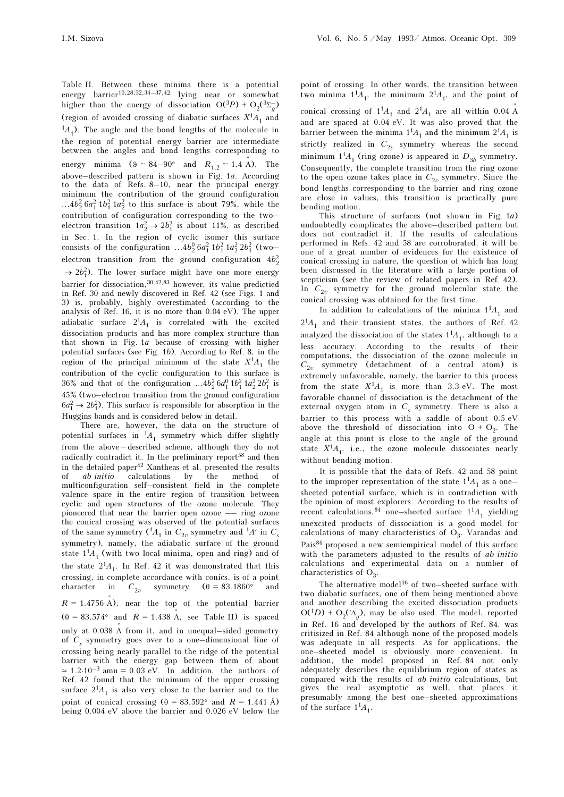Table II. Between these minima there is a potential energy barrier<sup>10,28,32,34–37,42</sup> lying near or somewhat higher than the energy of dissociation  $O(^{3}P) + O_2(^{3}\Sigma_g)$ (region of avoided crossing of diabatic surfaces  $X^1A_1$  and  $^1A_1$ ). The angle and the bond lengths of the molecule in the region of potential energy barrier are intermediate between the angles and bond lengths corresponding to energy minima  $(9 \approx 84-90^{\circ})$  and  $R_{1,2} \approx 1.4$  A). The above–described pattern is shown in Fig. 1a. According to the data of Refs. 8–10, near the principal energy minimum the contribution of the ground configuration ...4b<sub>2</sub> 6a<sup>2</sup> 1b<sup>2</sup> 1a<sup>2</sup> to this surface is about 79%, while the contribution of configuration corresponding to the two– electron transition  $1a_2^2 \rightarrow 2b_1^2$  is about 11%, as described<br>in Sec. 1. In the agrics of evalis isomer this surface in Sec. 1. In the region of cyclic isomer this surface consists of the configuration  $...4b_2^0$   $6a_1^2$   $1b_1^2$   $1a_2^2$   $2b_1^2$  (twoelectron transition from the ground configuration  $4b_2^2$  $\rightarrow$  2b<sup>2</sup><sub>1</sub>). The lower surface might have one more energy barrier for dissociation,  $30,42,83$  however, its value predictied in Ref. 30 and newly discovered in Ref. 42 (see Figs. 1 and 3) is, probably, highly overestimated (according to the analysis of Ref. 16, it is no more than 0.04 eV). The upper adiabatic surface  $2^{1}A_{1}$  is correlated with the excited dissociation products and has more complex structure than that shown in Fig. 1a because of crossing with higher potential surfaces (see Fig. 1b). According to Ref. 8, in the region of the principal minimum of the state  $X^1A_1$  the contribution of the cyclic configuration to this surface is 36% and that of the configuration  $\ldots$ 4b<sup>2</sup> 6a<sup>0</sup> 1b<sup>2</sup> 1a<sup>2</sup> 2b<sup>2</sup> is 45% (two–electron transition from the ground configuration  $6a_1^2 \rightarrow 2b_1^2$ ). This surface is responsible for absorption in the Huggins bands and is considered below in detail Huggins bands and is considered below in detail.

There are, however, the data on the structure of potential surfaces in  ${}^{1}A_1$  symmetry which differ slightly from the above—described scheme, although they do not radically contradict it. In the preliminary report<sup>58</sup> and then in the detailed paper<sup>42</sup> Xantheas et al. presented the results of *ab initio* calculations by the method of calculations by the method of multiconfiguration self–consistent field in the complete valence space in the entire region of transition between cyclic and open structures of the ozone molecule. They pioneered that near the barrier open ozone –– ring ozone the conical crossing was observed of the potential surfaces of the same symmetry  $({}^1A_1$  in  $C_{2v}$  symmetry and  ${}^1A'$  in  $C_s$ symmetry), namely, the adiabatic surface of the ground state  $1^1A_1$  (with two local minima, open and ring) and of the state  $2^{1}A_{1}$ . In Ref. 42 it was demonstrated that this crossing, in complete accordance with conics, is of a point character in  $C_{2n}$ symmetry  $(\theta = 83.1860^{\circ})$  and  $R = 1.4756$  A), near the top of the potential barrier  $(\theta = 83.574^{\circ} \text{ and } R = 1.438 \text{ Å}, \text{ see Table II}) \text{ is spaced}$ only at 0.038 A° from it, and in unequal–sided geometry of  $C<sub>s</sub>$  symmetry goes over to a one-dimensional line of s crossing being nearly parallel to the ridge of the potential barrier with the energy gap between them of about  $\simeq 1.2 \cdot 10^{-3}$  amu = 0.03 eV. In addition, the authors of Ref. 42 found that the minimum of the upper crossing surface  $2^{1}A_{1}$  is also very close to the barrier and to the point of conical crossing  $(\theta = 83.592^{\circ})$  and  $R = 1.441 \text{ Å}$ ) being 0.004 eV above the barrier and 0.026 eV below the

point of crossing. In other words, the transition between two minima  $1^1A_1$ , the minimum  $2^1A_1$ , and the point of conical crossing of  $1^1A_1$  and  $2^1A_1$  are all within 0.04 A and are spaced at 0.04 eV. It was also proved that the barrier between the minima  $1^1A_1$  and the minimum  $2^1A_1$  is strictly realized in  $C_{2v}$  symmetry whereas the second minimum  $1^1A_1$  (ring ozone) is appeared in  $D_{3h}$  symmetry. Consequently, the complete transition from the ring ozone to the open ozone takes place in  $C_{2v}$  symmetry. Since the hand langths corresponding to the hands and ring czone bond lengths corresponding to the barrier and ring ozone are close in values, this transition is practically pure bending motion.

This structure of surfaces (not shown in Fig. 1a) undoubtedly complicates the above–described pattern but does not contradict it. If the results of calculations performed in Refs. 42 and 58 are corroborated, it will be one of a great number of evidences for the existence of conical crossing in nature, the question of which has long been discussed in the literature with a large portion of scepticism (see the review of related papers in Ref. 42). In  $C_{2v}$  symmetry for the ground molecular state the conjugal grossing was abtained for the first time. conical crossing was obtained for the first time.

In addition to calculations of the minima  $1^1A_1$  and  $2<sup>1</sup>A<sub>1</sub>$  and their transient states, the authors of Ref. 42 analyzed the dissociation of the states  $1<sup>1</sup>A<sub>1</sub>$ , although to a less accuracy. According to the results of their computations, the dissociation of the ozone molecule in  $C_{2v}$  symmetry (detachment of a central atom) is<br>extremely unforceable comely the begins to this present extremely unfavorable, namely, the barrier to this process from the state  $X^1A_1$  is more than 3.3 eV. The most favorable channel of dissociation is the detachment of the external oxygen atom in  $C_s$  symmetry. There is also a barrier to this process with a saddle of about 0.5 eV above the threshold of dissociation into  $O + O_2$ . The angle at this point is close to the angle of the ground state  $X^1A_1$ , i.e., the ozone molecule dissociates nearly without bending motion.

It is possible that the data of Refs. 42 and 58 point to the improper representation of the state  $1<sup>1</sup>A<sub>1</sub>$  as a one– sheeted potential surface, which is in contradiction with the opinion of most explorers. According to the results of recent calculations,  $84$  one–sheeted surface  $1<sup>1</sup>A<sub>1</sub>$  yielding unexcited products of dissociation is a good model for calculations of many characteristics of  $O_3$ . Varandas and  $P_3: M_3$ Pais84 proposed a new semiempirical model of this surface with the parameters adjusted to the results of *ab initio* calculations and experimental data on a number of characteristics of  $O_3$ .

The alternative model<sup>16</sup> of two–sheeted surface with two diabatic surfaces, one of them being mentioned above and another describing the excited dissociation products  $O(1D) + O_2(\Delta_g)$ , may be also used. The model, reported<br>in Ref. 16 and developed by the exthere of Ref. 84, west in Ref. 16 and developed by the authors of Ref. 84, was critisized in Ref. 84 although none of the proposed models was adequate in all respects. As for applications, the one–sheeted model is obviously more convenient. In addition, the model proposed in Ref. 84 not only adequately describes the equilibrium region of states as compared with the results of ab initio calculations, but gives the real asymptotic as well, that places it presumably among the best one–sheeted approximations of the surface  $1^1A_1$ .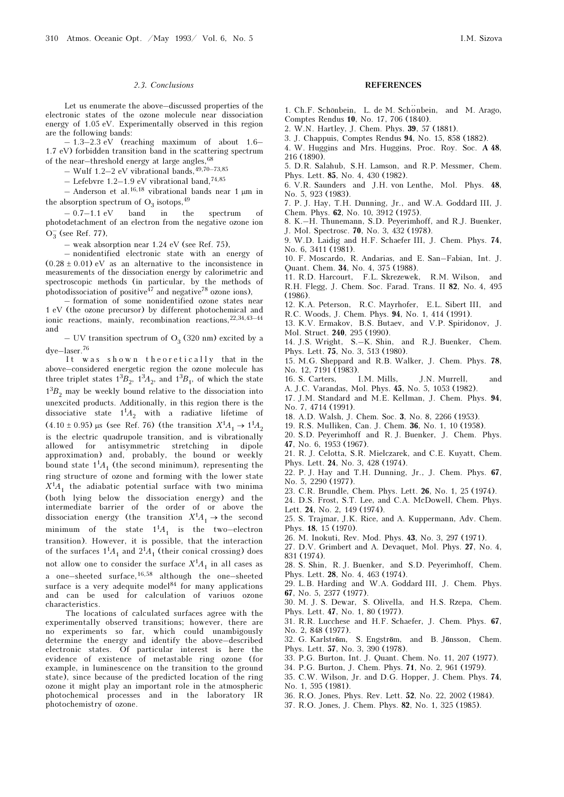#### 2.3. Conclusions

Let us enumerate the above–discussed properties of the electronic states of the ozone molecule near dissociation energy of 1.05 eV. Experimentally observed in this region are the following bands:

 $-1.3-2.3$  eV (reaching maximum of about 1.6– 1.7 eV) forbidden transition band in the scattering spectrum of the near-threshold energy at large angles,  $68$ 

– Wulf 1.2–2 eV vibrational bands,  $49,70-73,85$ 

– Lefebvre 1.2–1.9 eV vibrational band,<sup>74,85</sup>

– Anderson et al.<sup>16,18</sup> vibrational bands near 1  $\mu$ m in the absorption spectrum of  $O_3$  isotops, <sup>49</sup><br> $O_3$ <sup>7</sup>  $11eV$  hand in the

– 0.7–1.1 eV band in the spectrum of photodetachment of an electron from the negative ozone ion  $O_3^-$  (see Ref. 77),

– weak absorption near 1.24 eV (see Ref. 75),

– nonidentified electronic state with an energy of  $(0.28 \pm 0.01)$  eV as an alternative to the inconsistence in measurements of the dissociation energy by calorimetric and spectroscopic methods (in particular, by the methods of photodissociation of positive<sup>47</sup> and negative<sup>78</sup> ozone ions),

– formation of some nonidentified ozone states near 1 eV (the ozone precursor) by different photochemical and ionic reactions, mainly, recombination reactions,  $22,34,43-44$ and

– UV transition spectrum of  $O_3$  (320 nm) excited by a dye–laser.<sup>76</sup>

It was shown theoretically that in the above–considered energetic region the ozone molecule has three triplet states  $1^3B_2$ ,  $1^3A_2$ , and  $1^3B_1$ , of which the state  $1<sup>3</sup>B<sub>2</sub>$  may be weekly bound relative to the dissociation into unexcited products. Additionally, in this region there is the dissociative state  $1^1A_2$  with a radiative lifetime of  $(4.10 \pm 0.95)$  μs (see Ref. 76) (the transition  $X^1A_1 \rightarrow 1^1A_2$ is the electric quadrupole transition, and is vibrationally allowed for antisymmetric stretching in dipole approximation) and, probably, the bound or weekly bound state  $1<sup>1</sup>A<sub>1</sub>$  (the second minimum), representing the ring structure of ozone and forming with the lower state  $X<sup>1</sup>A<sub>1</sub>$  the adiabatic potential surface with two minima (both lying below the dissociation energy) and the intermediate barrier of the order of or above the dissociation energy (the transition  $X^1A_1 \rightarrow$  the second minimum of the state  $1^1A_1$  is the two–electron transition). However, it is possible, that the interaction of the surfaces  $1^1A_1$  and  $2^1A_1$  (their conical crossing) does not allow one to consider the surface  $X^1A_1$  in all cases as a one–sheeted surface,  $16,58$  although the one–sheeted surface is a very adequite model $84$  for many applications and can be used for calculation of variuos ozone characteristics.

The locations of calculated surfaces agree with the experimentally observed transitions; however, there are no experiments so far, which could unambigously determine the energy and identify the above–described electronic states. Of particular interest is here the evidence of existence of metastable ring ozone (for example, in luminescence on the transition to the ground state), since because of the predicted location of the ring ozone it might play an important role in the atmospheric photochemical processes and in the laboratory IR photochemistry of ozone.

## REFERENCES

- 1. Ch.F. Schönbein, L. de M. Schönbein, and M. Arago, Comptes Rendus 10, No. 17, 706 (1840).
- 2. W.N. Hartley, J. Chem. Phys. 39, 57 (1881).

3. J. Chappuis, Comptes Rendus 94, No. 15, 858 (1882).

4. W. Huggins and Mrs. Huggins, Proc. Roy. Soc. A 48, 216 (1890).

5. D.R. Salahub, S.H. Lamson, and R.P. Messmer, Chem. Phys. Lett. 85, No. 4, 430 (1982).

6. V.R. Saunders and J.H. von Lenthe, Mol. Phys. 48, No. 5, 923 (1983).

7. P. J. Hay, T.H. Dunning, Jr., and W.A. Goddard III, J. Chem. Phys. 62, No. 10, 3912 (1975).

8. K.–H. Thunemann, S.D. Peyerimhoff, and R.J. Buenker, J. Mol. Spectrosc. 70, No. 3, 432 (1978).

9. W.D. Laidig and H.F. Schaefer III, J. Chem. Phys. 74, No. 6, 3411 (1981).

10. F. Moscardo, R. Andarias, and E. San–Fabian, Int. J. Quant. Chem. 34, No. 4, 375 (1988).

11. R.D. Harcourt, F.L. Skrezewek, R.M. Wilson, and R.H. Flegg, J. Chem. Soc. Farad. Trans. II 82, No. 4, 495 (1986).

12. K.A. Peterson, R.C. Mayrhofer, E.L. Sibert III, and R.C. Woods, J. Chem. Phys. 94, No. 1, 414 (1991).

13. K.V. Ermakov, B.S. Butaev, and V.P. Spiridonov, J. Mol. Struct. 240, 295 (1990).

14. J.S. Wright, S.–K. Shin, and R.J. Buenker, Chem. Phys. Lett. 75, No. 3, 513 (1980).

15. M.G. Sheppard and R.B. Walker, J. Chem. Phys. 78, No. 12, 7191 (1983).

16. S. Carters, I.M. Mills, J.N. Murrell, and A. J.C. Varandas, Mol. Phys. 45, No. 5, 1053 (1982).

17. J.M. Standard and M.E. Kellman, J. Chem. Phys. 94, No. 7, 4714 (1991).

18. A.D. Walsh, J. Chem. Soc. 3, No. 8, 2266 (1953).

19. R.S. Mulliken, Can. J. Chem. 36, No. 1, 10 (1958).

20. S.D. Peyerimhoff and R. J. Buenker, J. Chem. Phys. 47, No. 6, 1953 (1967).

21. R. J. Celotta, S.R. Mielczarek, and C.E. Kuyatt, Chem. Phys. Lett. 24, No. 3, 428 (1974).

22. P. J. Hay and T.H. Dunning, Jr., J. Chem. Phys. 67, No. 5, 2290 (1977).

23. C.R. Brundle, Chem. Phys. Lett. 26, No. 1, 25 (1974).

24. D.S. Frost, S.T. Lee, and C.A. McDowell, Chem. Phys. Lett. 24, No. 2, 149 (1974).

25. S. Trajmar, J.K. Rice, and A. Kuppermann, Adv. Chem. Phys. 18, 15 (1970).

26. M. Inokuti, Rev. Mod. Phys. 43, No. 3, 297 (1971).

27. D.V. Grimbert and A. Devaquet, Mol. Phys. 27, No. 4, 831 (1974).

28. S. Shin, R. J. Buenker, and S.D. Peyerimhoff, Chem. Phys. Lett. 28, No. 4, 463 (1974).

29. L.B. Harding and W.A. Goddard III, J. Chem. Phys. 67, No. 5, 2377 (1977).

30. M. J. S. Dewar, S. Olivella, and H.S. Rzepa, Chem. Phys. Lett. 47, No. 1, 80 (1977).

31. R.R. Lucchese and H.F. Schaefer, J. Chem. Phys. 67, No. 2, 848 (1977).

32. G. Karlström, S. Engström, and B. Jönsson, Chem. Phys. Lett. 57, No. 3, 390 (1978).

33. P.G. Burton, Int. J. Quant. Chem. No. 11, 207 (1977).

34. P.G. Burton, J. Chem. Phys. 71, No. 2, 961 (1979).

35. C.W. Wilson, Jr. and D.G. Hopper, J. Chem. Phys. 74, No. 1, 595 (1981).

36. R.O. Jones, Phys. Rev. Lett. 52, No. 22, 2002 (1984).

37. R.O. Jones, J. Chem. Phys. 82, No. 1, 325 (1985).